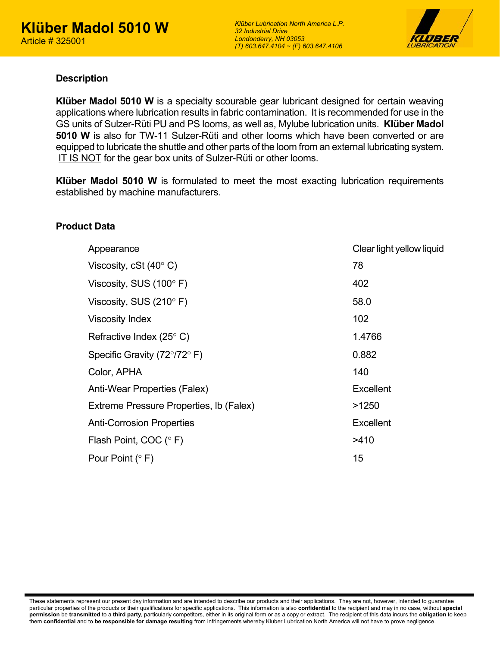

#### **Description**

**Klüber Madol 5010 W** is a specialty scourable gear lubricant designed for certain weaving applications where lubrication results in fabric contamination. It is recommended for use in the GS units of Sulzer-Rüti PU and PS looms, as well as, Mylube lubrication units. **Klüber Madol 5010 W** is also for TW-11 Sulzer-Rüti and other looms which have been converted or are equipped to lubricate the shuttle and other parts of the loom from an external lubricating system. IT IS NOT for the gear box units of Sulzer-Rüti or other looms.

**Klüber Madol 5010 W** is formulated to meet the most exacting lubrication requirements established by machine manufacturers.

### **Product Data**

| Appearance                                    | Clear light yellow liquid |
|-----------------------------------------------|---------------------------|
| Viscosity, cSt $(40^{\circ} C)$               | 78                        |
| Viscosity, SUS $(100^{\circ} \text{ F})$      | 402                       |
| Viscosity, SUS $(210^{\circ} \text{ F})$      | 58.0                      |
| <b>Viscosity Index</b>                        | 102                       |
| Refractive Index (25 $\degree$ C)             | 1.4766                    |
| Specific Gravity ( $72^{\circ}/72^{\circ}$ F) | 0.882                     |
| Color, APHA                                   | 140                       |
| <b>Anti-Wear Properties (Falex)</b>           | Excellent                 |
| Extreme Pressure Properties, Ib (Falex)       | >1250                     |
| <b>Anti-Corrosion Properties</b>              | <b>Excellent</b>          |
| Flash Point, COC (°F)                         | >410                      |
| Pour Point $(° F)$                            | 15                        |
|                                               |                           |

These statements represent our present day information and are intended to describe our products and their applications. They are not, however, intended to guarantee particular properties of the products or their qualifications for specific applications. This information is also **confidential** to the recipient and may in no case, without **special permission** be **transmitted** to a **third party**, particularly competitors, either in its original form or as a copy or extract. The recipient of this data incurs the **obligation** to keep them **confidential** and to **be responsible for damage resulting** from infringements whereby Kluber Lubrication North America will not have to prove negligence.